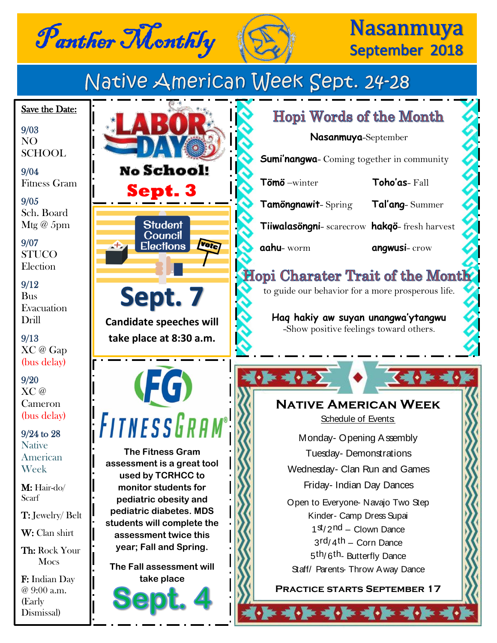



## **Nasanmuya** September 2018

Native American Week Sept. 24-28 Save the Date:  **Hopi Words of the Month**  9/03 **Nasanmuya**-September NO SCHOOL **Sumi'nangwa**- Coming together in community **No School!** 9/04 Fitness Gram  **Tömö** –winter **Toho'as**- Fall **Sept. 3** 9/05  **Tamöngnawit**- Spring **Tal'ang**- Summer Sch. Board **Student** Mtg $\omega$  5pm  **Tiiwalasöngni**- scarecrow **hakqö**- fresh harvest Council 9/07 Votel **Elections aahu**- worm **angwusi**- crow **STUCO Election** Hopi Charater Trait of the Month 9/12 to guide our behavior for a more prosperous life. Sept. 7 Bus Evacuation **Haq hakiy aw suyan unangwa'ytangwu** Drill **Candidate speeches will**  -Show positive feelings toward others. 9/13 **take place at 8:30 a.m.** XC @ Gap (bus delay)  $\sqrt{1 - \frac{1}{2}}$ **(FG)** 9/20 XC @ **Native American Week** Cameron (bus delay) FITNESSGR Schedule of Events: 9/24 to 28 Monday- Opening Assembly **Native The Fitness Gram**  Tuesday- Demonstrations American **assessment is a great tool**  Week Wednesday- Clan Run and Games **used by TCRHCC to**  Friday- Indian Day Dances **monitor students for**  M: Hair-do/ Scarf **pediatric obesity and**  Open to Everyone- Navajo Two Step **pediatric diabetes. MDS**  T: Jewelry/ Belt Kinder- Camp Dress Supai **students will complete the**   $1<sup>st</sup>/2<sup>nd</sup> - Clown *D*ance$ W: Clan shirt **assessment twice this**   $3rd/4th - Corn$  Dance **year; Fall and Spring.**  Th: Rock Your 5th/ 6th- Butterfly Dance **Mocs The Fall assessment will**  Staff/ Parents- Throw A way Dance F: Indian Day **take place Practice starts September 17**@ 9:00 a.m. (Early  $\begin{pmatrix} \cdot & \cdot & \cdot & \cdot \\ \cdot & \cdot & \cdot & \cdot \\ \cdot & \cdot & \cdot & \cdot \end{pmatrix} \cdot \begin{bmatrix} \cdot & \cdot & \cdot \\ \cdot & \cdot & \cdot & \cdot \\ \cdot & \cdot & \cdot & \cdot \end{bmatrix} \cdot \begin{bmatrix} \cdot & \cdot & \cdot \\ \cdot & \cdot & \cdot & \cdot \end{bmatrix}$ Dismissal)